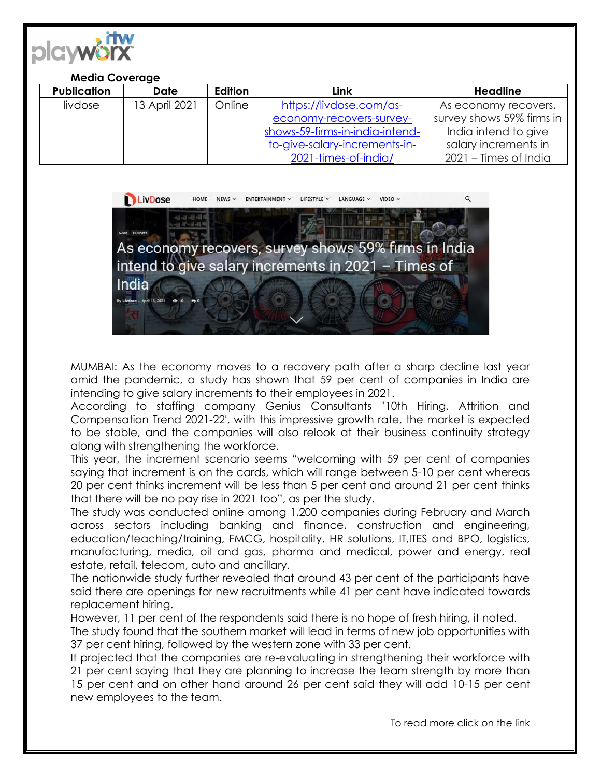

## **Media Coverage**

| <b>Publication</b> | Date          | Edition | Link                            | <b>Headline</b>           |
|--------------------|---------------|---------|---------------------------------|---------------------------|
| livdose            | 13 April 2021 | Online  | https://livdose.com/as-         | As economy recovers,      |
|                    |               |         | economy-recovers-survey-        | survey shows 59% firms in |
|                    |               |         | shows-59-firms-in-india-intend- | India intend to give      |
|                    |               |         | to-give-salary-increments-in-   | salary increments in      |
|                    |               |         | 2021-times-of-india/            | 2021 – Times of India     |



MUMBAI: As the economy moves to a recovery path after a sharp decline last year amid the pandemic, a study has shown that 59 per cent of companies in India are intending to give salary increments to their employees in 2021.

According to staffing company Genius Consultants '10th Hiring, Attrition and Compensation Trend 2021-22′, with this impressive growth rate, the market is expected to be stable, and the companies will also relook at their business continuity strategy along with strengthening the workforce.

This year, the increment scenario seems "welcoming with 59 per cent of companies saying that increment is on the cards, which will range between 5-10 per cent whereas 20 per cent thinks increment will be less than 5 per cent and around 21 per cent thinks that there will be no pay rise in 2021 too", as per the study.

The study was conducted online among 1,200 companies during February and March across sectors including banking and finance, construction and engineering, education/teaching/training, FMCG, hospitality, HR solutions, IT,ITES and BPO, logistics, manufacturing, media, oil and gas, pharma and medical, power and energy, real estate, retail, telecom, auto and ancillary.

The nationwide study further revealed that around 43 per cent of the participants have said there are openings for new recruitments while 41 per cent have indicated towards replacement hiring.

However, 11 per cent of the respondents said there is no hope of fresh hiring, it noted.

The study found that the southern market will lead in terms of new job opportunities with 37 per cent hiring, followed by the western zone with 33 per cent.

It projected that the companies are re-evaluating in strengthening their workforce with 21 per cent saying that they are planning to increase the team strength by more than 15 per cent and on other hand around 26 per cent said they will add 10-15 per cent new employees to the team.

To read more click on the link